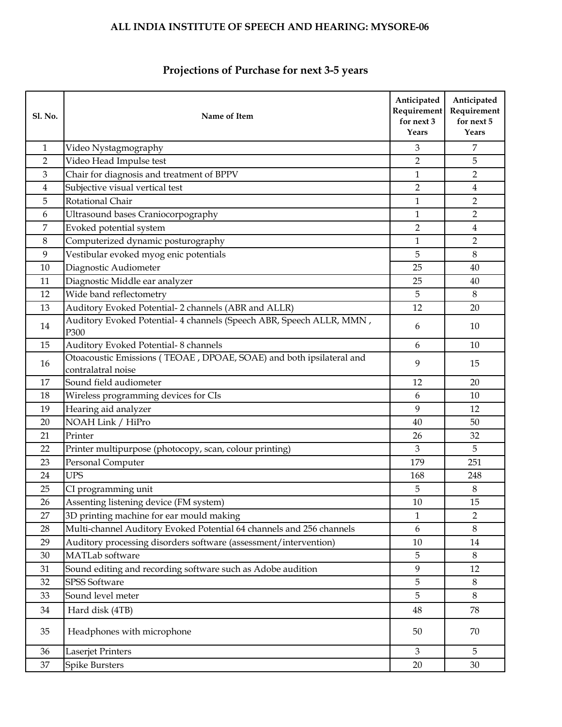#### **Sl. No. Name of Item Anticipated Requirement for next 3 Years Anticipated Requirement for next 5 Years** 1 Video Nystagmography 3 7 2 Video Head Impulse test 5 3 Chair for diagnosis and treatment of BPPV 1 2 4 Subjective visual vertical test 2 4 4 Australian vertical test 2 4 4 Australian vertical test 4 4 Australian vertical test 4 4 Australian vertical test 4 Australian vertical test 4 Australian vertical test 4 Australian v 5 Rotational Chair 2 6 Ultrasound bases Craniocorpography 1 2 7 Evoked potential system 2 4 8 Computerized dynamic posturography 1 2 9 Vestibular evoked myog enic potentials 19 8 8 10 Diagnostic Audiometer 25 40 11 Diagnostic Middle ear analyzer 25 40 12 Wide band reflectometry and the set of the set of the set of the set of the set of the set of the set of the set of the set of the set of the set of the set of the set of the set of the set of the set of the set of the 13 Auditory Evoked Potential-2 channels (ABR and ALLR) 12 12 20 14 Auditory Evoked Potential- 4 channels (Speech ABR, Speech ALLR, MMN , 6 10 10 15 Auditory Evoked Potential-8 channels 6 10 10 16 Otoacoustic Emissions (TEOAE , DPOAE, SOAE) and both ipsilateral and 9 9 15 17 Sound field audiometer 12 12 20 18 Wireless programming devices for CIs 6 10 19 Hearing aid analyzer 19 12 20 NOAH Link / HiPro 40 50 21 Printer 26 32 22 Printer multipurpose (photocopy, scan, colour printing) 3 3 5 23 Personal Computer 251 24 UPS 248 25 CI programming unit 3 8 26 Assenting listening device (FM system) 10 15 27  $\vert$  3D printing machine for ear mould making 1 2 28 Multi-channel Auditory Evoked Potential 64 channels and 256 channels 6 8 29 Auditory processing disorders software (assessment/intervention) 10 10 14 30 MATLab software 5 8 31 Sound editing and recording software such as Adobe audition 19 12 32 SPSS Software 5 8 33 Sound level meter 5 8 34 Hard disk (4TB) 34 Hard disk (4TB) 34 Hard disk (4TB) 35 Hard disk (4TB) 35 Hard disk (4TB) 36 Hard disk (4TB) 36 Hard disk (4TB) 36 Hard disk (4TB) 36 Hard disk (4TB) 36 Hard disk (4TB) 36 Hard disk (4TB) 36 Hard disk 35 Headphones with microphone 50 70 36 Laserjet Printers 3 5 37 Spike Bursters 20 30 30

#### **Projections of Purchase for next 3-5 years**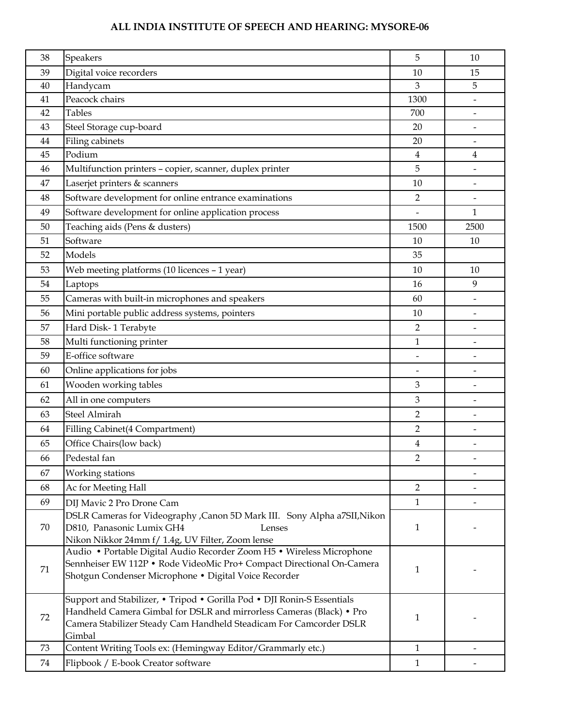| 38 | Speakers                                                                                                                                                                                                                        | 5                        | 10   |
|----|---------------------------------------------------------------------------------------------------------------------------------------------------------------------------------------------------------------------------------|--------------------------|------|
| 39 | Digital voice recorders                                                                                                                                                                                                         | 10                       | 15   |
| 40 | Handycam                                                                                                                                                                                                                        | 3                        | 5    |
| 41 | Peacock chairs                                                                                                                                                                                                                  | 1300                     |      |
| 42 | <b>Tables</b>                                                                                                                                                                                                                   | 700                      |      |
| 43 | Steel Storage cup-board                                                                                                                                                                                                         | 20                       |      |
| 44 | Filing cabinets                                                                                                                                                                                                                 | 20                       |      |
| 45 | Podium                                                                                                                                                                                                                          | 4                        | 4    |
| 46 | Multifunction printers - copier, scanner, duplex printer                                                                                                                                                                        | 5                        |      |
| 47 | Laserjet printers & scanners                                                                                                                                                                                                    | 10                       |      |
| 48 | Software development for online entrance examinations                                                                                                                                                                           | $\overline{2}$           |      |
| 49 | Software development for online application process                                                                                                                                                                             |                          | 1    |
| 50 | Teaching aids (Pens & dusters)                                                                                                                                                                                                  | 1500                     | 2500 |
| 51 | Software                                                                                                                                                                                                                        | 10                       | 10   |
| 52 | Models                                                                                                                                                                                                                          | 35                       |      |
| 53 | Web meeting platforms (10 licences - 1 year)                                                                                                                                                                                    | 10                       | 10   |
| 54 | Laptops                                                                                                                                                                                                                         | 16                       | 9    |
| 55 | Cameras with built-in microphones and speakers                                                                                                                                                                                  | 60                       |      |
| 56 | Mini portable public address systems, pointers                                                                                                                                                                                  | 10                       |      |
| 57 | Hard Disk-1 Terabyte                                                                                                                                                                                                            | 2                        |      |
| 58 | Multi functioning printer                                                                                                                                                                                                       | 1                        |      |
| 59 | E-office software                                                                                                                                                                                                               | $\overline{\phantom{a}}$ |      |
| 60 | Online applications for jobs                                                                                                                                                                                                    | $\overline{\phantom{0}}$ |      |
| 61 | Wooden working tables                                                                                                                                                                                                           | 3                        |      |
| 62 | All in one computers                                                                                                                                                                                                            | 3                        |      |
| 63 | <b>Steel Almirah</b>                                                                                                                                                                                                            | $\overline{2}$           |      |
| 64 | Filling Cabinet(4 Compartment)                                                                                                                                                                                                  | 2                        |      |
| 65 | Office Chairs(low back)                                                                                                                                                                                                         | 4                        |      |
| 66 | Pedestal fan                                                                                                                                                                                                                    | 2                        |      |
| 67 | Working stations                                                                                                                                                                                                                |                          |      |
| 68 | Ac for Meeting Hall                                                                                                                                                                                                             | $\overline{2}$           |      |
| 69 | DIJ Mavic 2 Pro Drone Cam                                                                                                                                                                                                       | $\mathbf{1}$             |      |
| 70 | DSLR Cameras for Videography , Canon 5D Mark III. Sony Alpha a7SII, Nikon<br>D810, Panasonic Lumix GH4<br>Lenses<br>Nikon Nikkor 24mm f/ 1.4g, UV Filter, Zoom lense                                                            | 1                        |      |
| 71 | Audio • Portable Digital Audio Recorder Zoom H5 • Wireless Microphone<br>Sennheiser EW 112P · Rode VideoMic Pro+ Compact Directional On-Camera<br>Shotgun Condenser Microphone · Digital Voice Recorder                         | 1                        |      |
| 72 | Support and Stabilizer, • Tripod • Gorilla Pod • DJI Ronin-S Essentials<br>Handheld Camera Gimbal for DSLR and mirrorless Cameras (Black) • Pro<br>Camera Stabilizer Steady Cam Handheld Steadicam For Camcorder DSLR<br>Gimbal | 1                        |      |
| 73 | Content Writing Tools ex: (Hemingway Editor/Grammarly etc.)                                                                                                                                                                     | 1                        |      |
| 74 | Flipbook / E-book Creator software                                                                                                                                                                                              | $\mathbf{1}$             |      |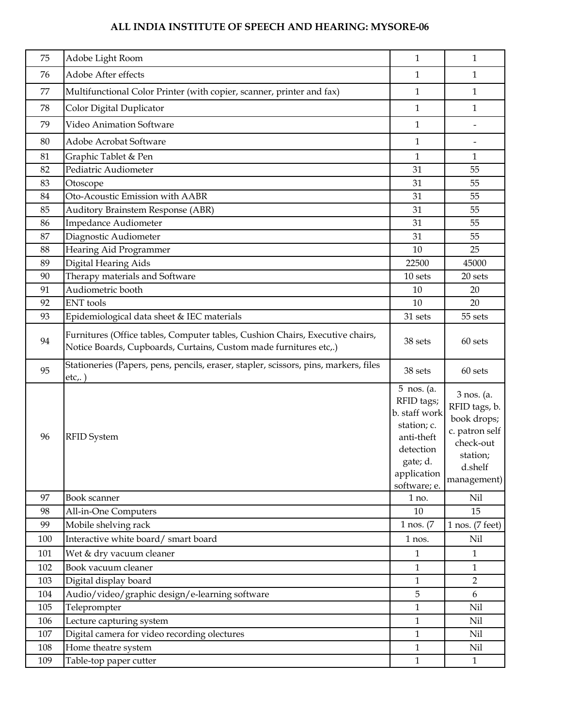| 75  | Adobe Light Room                                                                                                                                   | $\mathbf{1}$                                                                                                                   | $\mathbf{1}$                                                                                                    |
|-----|----------------------------------------------------------------------------------------------------------------------------------------------------|--------------------------------------------------------------------------------------------------------------------------------|-----------------------------------------------------------------------------------------------------------------|
| 76  | Adobe After effects                                                                                                                                | 1                                                                                                                              | $\mathbf{1}$                                                                                                    |
| 77  | Multifunctional Color Printer (with copier, scanner, printer and fax)                                                                              | 1                                                                                                                              | $\mathbf{1}$                                                                                                    |
| 78  | Color Digital Duplicator                                                                                                                           | 1                                                                                                                              | 1                                                                                                               |
| 79  | Video Animation Software                                                                                                                           | 1                                                                                                                              |                                                                                                                 |
| 80  | Adobe Acrobat Software                                                                                                                             | 1                                                                                                                              |                                                                                                                 |
| 81  | Graphic Tablet & Pen                                                                                                                               | 1                                                                                                                              | $\mathbf{1}$                                                                                                    |
| 82  | Pediatric Audiometer                                                                                                                               | 31                                                                                                                             | 55                                                                                                              |
| 83  | Otoscope                                                                                                                                           | 31                                                                                                                             | 55                                                                                                              |
| 84  | Oto-Acoustic Emission with AABR                                                                                                                    | 31                                                                                                                             | 55                                                                                                              |
| 85  | Auditory Brainstem Response (ABR)                                                                                                                  | 31                                                                                                                             | 55                                                                                                              |
| 86  | Impedance Audiometer                                                                                                                               | 31                                                                                                                             | 55                                                                                                              |
| 87  | Diagnostic Audiometer                                                                                                                              | 31                                                                                                                             | 55                                                                                                              |
| 88  | Hearing Aid Programmer                                                                                                                             | 10                                                                                                                             | 25                                                                                                              |
| 89  | Digital Hearing Aids                                                                                                                               | 22500                                                                                                                          | 45000                                                                                                           |
| 90  | Therapy materials and Software                                                                                                                     | 10 sets                                                                                                                        | 20 sets                                                                                                         |
| 91  | Audiometric booth                                                                                                                                  | 10                                                                                                                             | 20                                                                                                              |
| 92  | <b>ENT</b> tools                                                                                                                                   | 10                                                                                                                             | 20                                                                                                              |
| 93  | Epidemiological data sheet & IEC materials                                                                                                         | 31 sets                                                                                                                        | 55 sets                                                                                                         |
| 94  | Furnitures (Office tables, Computer tables, Cushion Chairs, Executive chairs,<br>Notice Boards, Cupboards, Curtains, Custom made furnitures etc,.) | 38 sets                                                                                                                        | 60 sets                                                                                                         |
| 95  | Stationeries (Papers, pens, pencils, eraser, stapler, scissors, pins, markers, files<br>etc.,                                                      | 38 sets                                                                                                                        | 60 sets                                                                                                         |
| 96  | <b>RFID</b> System                                                                                                                                 | 5 nos. (a.<br>RFID tags;<br>b. staff work<br>station; c.<br>anti-theft<br>detection<br>gate; d.<br>application<br>software; e. | 3 nos. (a.<br>RFID tags, b.<br>book drops;<br>c. patron self<br>check-out<br>station;<br>d.shelf<br>management) |
| 97  | Book scanner                                                                                                                                       | 1 no.                                                                                                                          | Nil                                                                                                             |
| 98  | All-in-One Computers                                                                                                                               | 10                                                                                                                             | 15                                                                                                              |
| 99  | Mobile shelving rack                                                                                                                               | $1$ nos. $(7)$                                                                                                                 | $1$ nos. $(7$ feet $)$                                                                                          |
| 100 | Interactive white board/ smart board                                                                                                               | 1 nos.                                                                                                                         | Nil                                                                                                             |
| 101 | Wet & dry vacuum cleaner                                                                                                                           | $\mathbf{1}$                                                                                                                   | $\mathbf{1}$                                                                                                    |
| 102 | Book vacuum cleaner                                                                                                                                | $\mathbf{1}$                                                                                                                   | $\mathbf{1}$                                                                                                    |
| 103 | Digital display board                                                                                                                              | 1                                                                                                                              | $\overline{2}$                                                                                                  |
| 104 | Audio/video/graphic design/e-learning software                                                                                                     | 5                                                                                                                              | 6                                                                                                               |
| 105 | Teleprompter                                                                                                                                       | $\mathbf{1}$                                                                                                                   | Nil                                                                                                             |
| 106 | Lecture capturing system                                                                                                                           | $\mathbf{1}$                                                                                                                   | Nil                                                                                                             |
| 107 | Digital camera for video recording olectures                                                                                                       | $\mathbf{1}$                                                                                                                   | Nil                                                                                                             |
| 108 | Home theatre system                                                                                                                                | 1                                                                                                                              | Nil                                                                                                             |
| 109 | Table-top paper cutter                                                                                                                             | $\mathbf{1}$                                                                                                                   | $\mathbf{1}$                                                                                                    |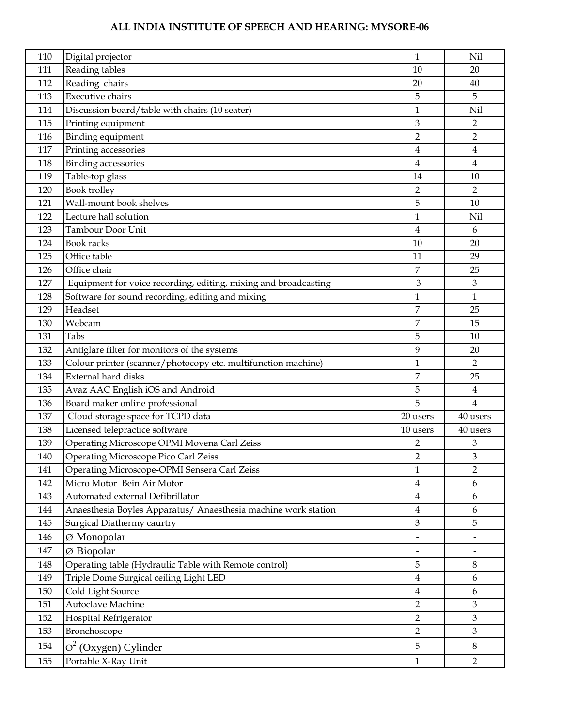| 110 | Digital projector                                               | 1                            | Nil            |
|-----|-----------------------------------------------------------------|------------------------------|----------------|
| 111 | Reading tables                                                  | 10                           | 20             |
| 112 | Reading chairs                                                  | 20                           | 40             |
| 113 | <b>Executive chairs</b>                                         | 5                            | 5              |
| 114 | Discussion board/table with chairs (10 seater)                  | $\mathbf{1}$                 | Nil            |
| 115 | Printing equipment                                              | 3                            | $\overline{2}$ |
| 116 | Binding equipment                                               | $\overline{2}$               | $\overline{2}$ |
| 117 | Printing accessories                                            | 4                            | 4              |
| 118 | <b>Binding</b> accessories                                      | $\overline{\mathbf{4}}$      | $\overline{4}$ |
| 119 | Table-top glass                                                 | 14                           | 10             |
| 120 | Book trolley                                                    | $\overline{2}$               | $\overline{2}$ |
| 121 | Wall-mount book shelves                                         | 5                            | 10             |
| 122 | Lecture hall solution                                           | $\mathbf{1}$                 | Nil            |
| 123 | Tambour Door Unit                                               | $\overline{\mathbf{4}}$      | 6              |
| 124 | Book racks                                                      | 10                           | 20             |
| 125 | Office table                                                    | 11                           | 29             |
| 126 | Office chair                                                    | $\overline{7}$               | 25             |
| 127 | Equipment for voice recording, editing, mixing and broadcasting | $\mathfrak{B}$               | $\mathfrak{Z}$ |
| 128 | Software for sound recording, editing and mixing                | $\mathbf{1}$                 | 1              |
| 129 | Headset                                                         | $\overline{7}$               | 25             |
| 130 | Webcam                                                          | $\overline{7}$               | 15             |
| 131 | Tabs                                                            | 5                            | 10             |
| 132 | Antiglare filter for monitors of the systems                    | 9                            | 20             |
| 133 | Colour printer (scanner/photocopy etc. multifunction machine)   | $\mathbf{1}$                 | $\overline{2}$ |
| 134 | <b>External hard disks</b>                                      | 7                            | 25             |
| 135 | Avaz AAC English iOS and Android                                | 5                            | $\overline{4}$ |
| 136 | Board maker online professional                                 | 5                            | $\overline{4}$ |
| 137 | Cloud storage space for TCPD data                               | 20 users                     | 40 users       |
| 138 | Licensed telepractice software                                  | 10 users                     | 40 users       |
| 139 | Operating Microscope OPMI Movena Carl Zeiss                     | 2                            | 3              |
| 140 | Operating Microscope Pico Carl Zeiss                            | $\overline{2}$               | 3              |
| 141 | Operating Microscope-OPMI Sensera Carl Zeiss                    | 1                            | 2              |
| 142 | Micro Motor Bein Air Motor                                      | 4                            | 6              |
| 143 | Automated external Defibrillator                                | $\overline{\mathbf{4}}$      | 6              |
| 144 | Anaesthesia Boyles Apparatus/ Anaesthesia machine work station  | $\overline{4}$               | 6              |
| 145 | Surgical Diathermy caurtry                                      | 3                            | 5              |
| 146 | Ø Monopolar                                                     | $\overline{\phantom{0}}$     |                |
| 147 | $\varnothing$ Biopolar                                          | $\qquad \qquad \blacksquare$ |                |
| 148 | Operating table (Hydraulic Table with Remote control)           | 5                            | 8              |
| 149 | Triple Dome Surgical ceiling Light LED                          | $\overline{4}$               | 6              |
| 150 | Cold Light Source                                               | $\overline{4}$               | 6              |
| 151 | Autoclave Machine                                               | $\overline{2}$               | $\mathfrak{Z}$ |
| 152 | Hospital Refrigerator                                           | $\overline{2}$               | $\mathfrak{Z}$ |
| 153 | Bronchoscope                                                    | $\overline{2}$               | $\mathfrak{Z}$ |
| 154 | $O^2$ (Oxygen) Cylinder                                         | 5                            | $8\,$          |
| 155 | Portable X-Ray Unit                                             | $\mathbf{1}$                 | $\overline{2}$ |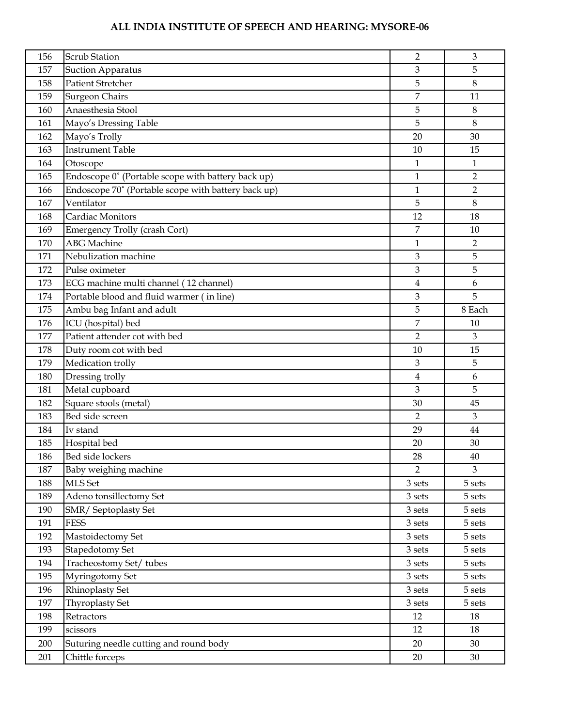| 156 | <b>Scrub Station</b>                                | 2                       | 3                  |
|-----|-----------------------------------------------------|-------------------------|--------------------|
| 157 | <b>Suction Apparatus</b>                            | 3                       | 5                  |
| 158 | <b>Patient Stretcher</b>                            | 5                       | $\,8\,$            |
| 159 | <b>Surgeon Chairs</b>                               | 7                       | 11                 |
| 160 | Anaesthesia Stool                                   | 5                       | 8                  |
| 161 | Mayo's Dressing Table                               | 5                       | $\,8\,$            |
| 162 | Mayo's Trolly                                       | 20                      | 30                 |
| 163 | <b>Instrument Table</b>                             | 10                      | 15                 |
| 164 | Otoscope                                            | $\mathbf{1}$            | $\mathbf{1}$       |
| 165 | Endoscope 0° (Portable scope with battery back up)  | $\mathbf{1}$            | $\overline{2}$     |
| 166 | Endoscope 70° (Portable scope with battery back up) | $\mathbf{1}$            | $\overline{2}$     |
| 167 | Ventilator                                          | 5                       | $\,8\,$            |
| 168 | Cardiac Monitors                                    | 12                      | 18                 |
| 169 | Emergency Trolly (crash Cort)                       | 7                       | 10                 |
| 170 | <b>ABG</b> Machine                                  | $\mathbf{1}$            | $\overline{2}$     |
| 171 | Nebulization machine                                | 3                       | 5                  |
| 172 | Pulse oximeter                                      | 3                       | 5                  |
| 173 | ECG machine multi channel (12 channel)              | $\overline{\mathbf{4}}$ | 6                  |
| 174 | Portable blood and fluid warmer (in line)           | 3                       | 5                  |
| 175 | Ambu bag Infant and adult                           | 5                       | 8 Each             |
| 176 | ICU (hospital) bed                                  | $\overline{7}$          | 10                 |
| 177 | Patient attender cot with bed                       | $\overline{2}$          | $\mathfrak{Z}$     |
| 178 | Duty room cot with bed                              | 10                      | 15                 |
| 179 | Medication trolly                                   | 3                       | 5                  |
| 180 | Dressing trolly                                     | $\overline{4}$          | 6                  |
| 181 | Metal cupboard                                      | 3                       | 5                  |
| 182 | Square stools (metal)                               | 30                      | 45                 |
| 183 | Bed side screen                                     | $\overline{2}$          | 3                  |
| 184 | Iv stand                                            | 29                      | 44                 |
| 185 | Hospital bed                                        | 20                      | 30                 |
| 186 | Bed side lockers                                    | 28                      | 40                 |
| 187 | Baby weighing machine                               | $\overline{2}$          | 3                  |
| 188 | MLS Set                                             | $3\,\mathrm{sets}$      | $5\,\mathrm{sets}$ |
| 189 | Adeno tonsillectomy Set                             | $3\,\mathrm{sets}$      | 5 sets             |
| 190 | SMR/ Septoplasty Set                                | 3 sets                  | 5 sets             |
| 191 | <b>FESS</b>                                         | 3 sets                  | 5 sets             |
| 192 | Mastoidectomy Set                                   | 3 sets                  | 5 sets             |
| 193 | Stapedotomy Set                                     | $3\,\mathrm{sets}$      | 5 sets             |
| 194 | Tracheostomy Set/tubes                              | 3 sets                  | 5 sets             |
| 195 | Myringotomy Set                                     | 3 sets                  | 5 sets             |
| 196 | Rhinoplasty Set                                     | 3 sets                  | 5 sets             |
| 197 | Thyroplasty Set                                     | 3 sets                  | 5 sets             |
| 198 | Retractors                                          | 12                      | 18                 |
| 199 | scissors                                            | 12                      | 18                 |
| 200 | Suturing needle cutting and round body              | 20                      | 30                 |
| 201 | Chittle forceps                                     | 20                      | 30                 |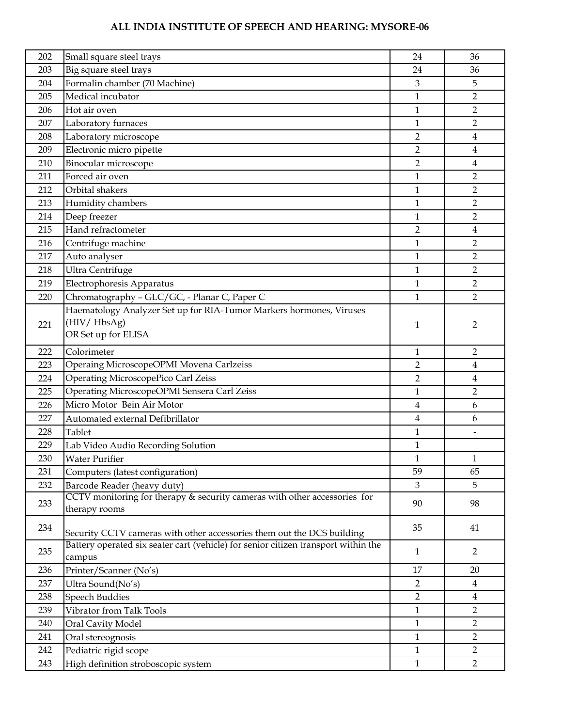| 202 | Small square steel trays                                                           | 24                      | 36             |
|-----|------------------------------------------------------------------------------------|-------------------------|----------------|
| 203 | Big square steel trays                                                             | 24                      | 36             |
| 204 | Formalin chamber (70 Machine)                                                      | $\mathfrak{B}$          | 5              |
| 205 | Medical incubator                                                                  | $\mathbf{1}$            | 2              |
| 206 | Hot air oven                                                                       | $\mathbf{1}$            | 2              |
| 207 | Laboratory furnaces                                                                | 1                       | 2              |
| 208 | Laboratory microscope                                                              | $\overline{2}$          | 4              |
| 209 | Electronic micro pipette                                                           | $\overline{2}$          | $\overline{4}$ |
| 210 | Binocular microscope                                                               | $\overline{2}$          | 4              |
| 211 | Forced air oven                                                                    | $\mathbf{1}$            | 2              |
| 212 | Orbital shakers                                                                    | $\mathbf{1}$            | 2              |
| 213 | Humidity chambers                                                                  | 1                       | 2              |
| 214 | Deep freezer                                                                       | $\mathbf{1}$            | $\overline{2}$ |
| 215 | Hand refractometer                                                                 | $\overline{2}$          | $\overline{4}$ |
| 216 | Centrifuge machine                                                                 | $\mathbf{1}$            | 2              |
| 217 | Auto analyser                                                                      | $\mathbf{1}$            | 2              |
| 218 | Ultra Centrifuge                                                                   | $\mathbf{1}$            | $\overline{2}$ |
| 219 | Electrophoresis Apparatus                                                          | $\mathbf{1}$            | $\overline{2}$ |
| 220 | Chromatography - GLC/GC, - Planar C, Paper C                                       | $\mathbf{1}$            | $\mathcal{P}$  |
|     | Haematology Analyzer Set up for RIA-Tumor Markers hormones, Viruses                |                         |                |
| 221 | (HIV/HbsAg)                                                                        | 1                       | 2              |
|     | OR Set up for ELISA                                                                |                         |                |
| 222 | Colorimeter                                                                        | 1                       | $\overline{2}$ |
| 223 | Operaing MicroscopeOPMI Movena Carlzeiss                                           | 2                       | 4              |
| 224 | <b>Operating MicroscopePico Carl Zeiss</b>                                         | $\overline{2}$          | 4              |
| 225 | Operating MicroscopeOPMI Sensera Carl Zeiss                                        | $\mathbf{1}$            | $\overline{2}$ |
| 226 | Micro Motor Bein Air Motor                                                         | $\overline{\mathbf{4}}$ | 6              |
| 227 | Automated external Defibrillator                                                   | $\overline{4}$          | 6              |
| 228 | Tablet                                                                             | $\mathbf{1}$            |                |
| 229 | Lab Video Audio Recording Solution                                                 | $\mathbf{1}$            |                |
| 230 | <b>Water Purifier</b>                                                              | $\mathbf{1}$            | 1              |
| 231 | Computers (latest configuration)                                                   | 59                      | 65             |
| 232 | Barcode Reader (heavy duty)                                                        | $\mathfrak{Z}$          | 5              |
|     | CCTV monitoring for therapy & security cameras with other accessories for          |                         |                |
| 233 | therapy rooms                                                                      | 90                      | 98             |
| 234 |                                                                                    | 35                      |                |
|     | Security CCTV cameras with other accessories them out the DCS building             |                         | 41             |
| 235 | Battery operated six seater cart (vehicle) for senior citizen transport within the | $\mathbf{1}$            | $\overline{2}$ |
|     | campus                                                                             |                         |                |
| 236 | Printer/Scanner (No's)                                                             | 17                      | 20             |
| 237 | Ultra Sound(No's)                                                                  | $\overline{2}$          | $\overline{4}$ |
| 238 | <b>Speech Buddies</b>                                                              | $\overline{2}$          | $\overline{4}$ |
| 239 | Vibrator from Talk Tools                                                           | $\mathbf{1}$            | $\overline{2}$ |
| 240 | Oral Cavity Model                                                                  | $\mathbf{1}$            | $\overline{2}$ |
| 241 | Oral stereognosis                                                                  | $\mathbf{1}$            | $\overline{2}$ |
| 242 | Pediatric rigid scope                                                              | $\mathbf{1}$            | $\overline{2}$ |
| 243 | High definition stroboscopic system                                                | $\mathbf{1}$            | $\overline{2}$ |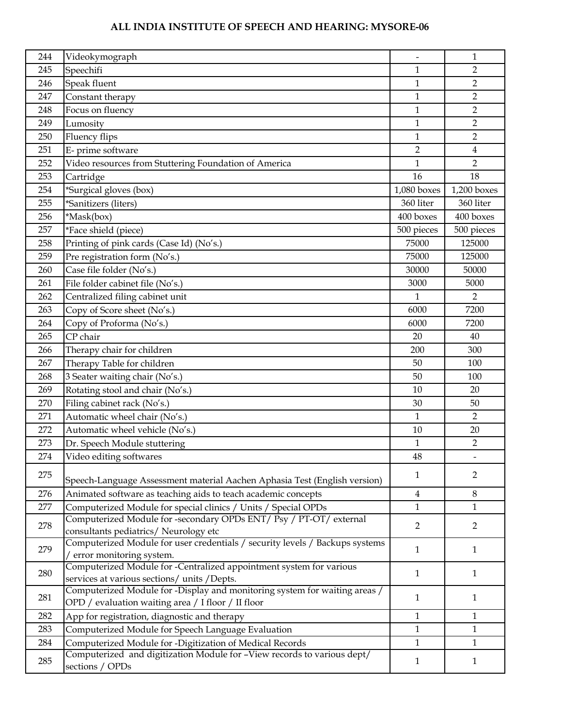| 244 | Videokymograph                                                                                  | $\qquad \qquad \blacksquare$ | 1              |
|-----|-------------------------------------------------------------------------------------------------|------------------------------|----------------|
| 245 | Speechifi                                                                                       | 1                            | $\overline{2}$ |
| 246 | Speak fluent                                                                                    | 1                            | $\overline{2}$ |
| 247 | Constant therapy                                                                                | 1                            | $\overline{2}$ |
| 248 | Focus on fluency                                                                                | $\mathbf{1}$                 | $\overline{2}$ |
| 249 | Lumosity                                                                                        | 1                            | $\overline{2}$ |
| 250 | Fluency flips                                                                                   | 1                            | $\overline{2}$ |
| 251 | E- prime software                                                                               | $\overline{2}$               | $\overline{4}$ |
| 252 | Video resources from Stuttering Foundation of America                                           | $\mathbf 1$                  | $\overline{2}$ |
| 253 | Cartridge                                                                                       | 16                           | 18             |
| 254 | *Surgical gloves (box)                                                                          | $1,080$ boxes                | $1,200$ boxes  |
| 255 | *Sanitizers (liters)                                                                            | 360 liter                    | 360 liter      |
| 256 | *Mask(box)                                                                                      | 400 boxes                    | 400 boxes      |
| 257 | *Face shield (piece)                                                                            | 500 pieces                   | 500 pieces     |
| 258 | Printing of pink cards (Case Id) (No's.)                                                        | 75000                        | 125000         |
| 259 | Pre registration form (No's.)                                                                   | 75000                        | 125000         |
| 260 | Case file folder (No's.)                                                                        | 30000                        | 50000          |
| 261 | File folder cabinet file (No's.)                                                                | 3000                         | 5000           |
| 262 | Centralized filing cabinet unit                                                                 | 1                            | $\overline{2}$ |
| 263 | Copy of Score sheet (No's.)                                                                     | 6000                         | 7200           |
| 264 | Copy of Proforma (No's.)                                                                        | 6000                         | 7200           |
| 265 | CP chair                                                                                        | 20                           | 40             |
| 266 | Therapy chair for children                                                                      | 200                          | 300            |
| 267 | Therapy Table for children                                                                      | 50                           | 100            |
| 268 | 3 Seater waiting chair (No's.)                                                                  | 50                           | 100            |
| 269 | Rotating stool and chair (No's.)                                                                | 10                           | 20             |
| 270 | Filing cabinet rack (No's.)                                                                     | 30                           | 50             |
| 271 | Automatic wheel chair (No's.)                                                                   | $\mathbf{1}$                 | $\overline{2}$ |
| 272 | Automatic wheel vehicle (No's.)                                                                 | 10                           | 20             |
| 273 | Dr. Speech Module stuttering                                                                    | $\mathbf{1}$                 | $\overline{2}$ |
| 274 | Video editing softwares                                                                         | 48                           |                |
|     |                                                                                                 |                              |                |
| 275 | Speech-Language Assessment material Aachen Aphasia Test (English version)                       | 1                            | 2              |
| 276 | Animated software as teaching aids to teach academic concepts                                   | $\overline{4}$               | $\,8\,$        |
| 277 | Computerized Module for special clinics / Units / Special OPDs                                  | $\mathbf{1}$                 | $\mathbf{1}$   |
| 278 | Computerized Module for -secondary OPDs ENT/ Psy / PT-OT/ external                              | $\overline{2}$               | $\overline{2}$ |
|     | consultants pediatrics/ Neurology etc                                                           |                              |                |
| 279 | Computerized Module for user credentials / security levels / Backups systems                    | $\mathbf{1}$                 | $\mathbf{1}$   |
|     | error monitoring system.<br>Computerized Module for -Centralized appointment system for various |                              |                |
| 280 | services at various sections/ units /Depts.                                                     | 1                            | $\mathbf{1}$   |
|     | Computerized Module for -Display and monitoring system for waiting areas /                      |                              |                |
| 281 | OPD / evaluation waiting area / I floor / II floor                                              | $\mathbf{1}$                 | 1              |
| 282 | App for registration, diagnostic and therapy                                                    | $\mathbf{1}$                 | $\mathbf{1}$   |
| 283 | Computerized Module for Speech Language Evaluation                                              | 1                            | $\mathbf{1}$   |
| 284 | Computerized Module for -Digitization of Medical Records                                        | $\mathbf{1}$                 | $\mathbf{1}$   |
|     | Computerized and digitization Module for -View records to various dept/                         |                              |                |
| 285 | sections / OPDs                                                                                 | $\mathbf{1}$                 | $\mathbf{1}$   |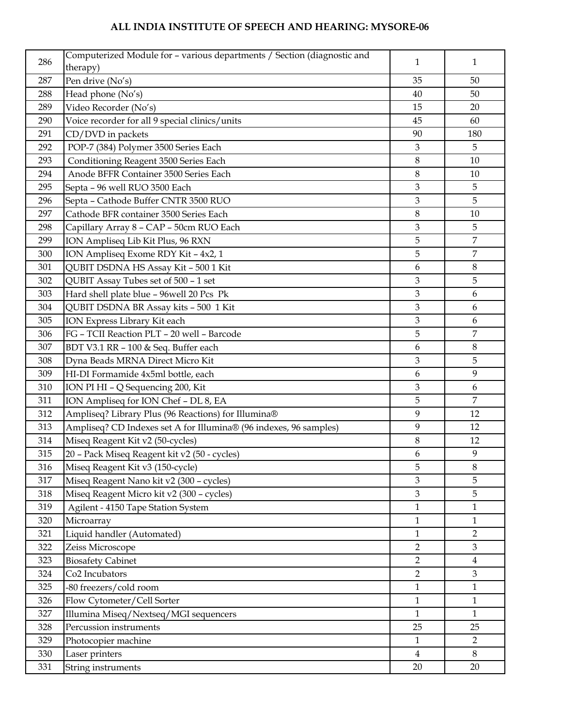| 286 | Computerized Module for - various departments / Section (diagnostic and | 1              | 1              |
|-----|-------------------------------------------------------------------------|----------------|----------------|
|     | therapy)                                                                |                |                |
| 287 | Pen drive (No's)                                                        | 35             | 50             |
| 288 | Head phone (No's)                                                       | 40             | 50             |
| 289 | Video Recorder (No's)                                                   | 15             | 20             |
| 290 | Voice recorder for all 9 special clinics/units                          | 45             | 60             |
| 291 | CD/DVD in packets                                                       | 90             | 180            |
| 292 | POP-7 (384) Polymer 3500 Series Each                                    | $\mathfrak{Z}$ | 5              |
| 293 | Conditioning Reagent 3500 Series Each                                   | 8              | 10             |
| 294 | Anode BFFR Container 3500 Series Each                                   | 8              | 10             |
| 295 | Septa - 96 well RUO 3500 Each                                           | 3              | 5              |
| 296 | Septa - Cathode Buffer CNTR 3500 RUO                                    | 3              | 5              |
| 297 | Cathode BFR container 3500 Series Each                                  | $\,8\,$        | 10             |
| 298 | Capillary Array 8 - CAP - 50cm RUO Each                                 | 3              | 5              |
| 299 | ION Ampliseq Lib Kit Plus, 96 RXN                                       | 5              | $\overline{7}$ |
| 300 | ION Ampliseq Exome RDY Kit - 4x2, 1                                     | 5              | $\overline{7}$ |
| 301 | QUBIT DSDNA HS Assay Kit - 500 1 Kit                                    | 6              | 8              |
| 302 | QUBIT Assay Tubes set of 500 - 1 set                                    | 3              | 5              |
| 303 | Hard shell plate blue - 96 well 20 Pcs Pk                               | 3              | 6              |
| 304 | QUBIT DSDNA BR Assay kits - 500 1 Kit                                   | 3              | 6              |
| 305 | ION Express Library Kit each                                            | $\mathfrak{Z}$ | 6              |
| 306 | FG - TCII Reaction PLT - 20 well - Barcode                              | 5              | $\overline{7}$ |
| 307 | BDT V3.1 RR - 100 & Seq. Buffer each                                    | 6              | $8\,$          |
| 308 | Dyna Beads MRNA Direct Micro Kit                                        | 3              | 5              |
| 309 | HI-DI Formamide 4x5ml bottle, each                                      | 6              | 9              |
| 310 | ION PI HI - Q Sequencing 200, Kit                                       | $\mathfrak{Z}$ | 6              |
| 311 | ION Ampliseq for ION Chef - DL 8, EA                                    | 5              | $\overline{7}$ |
| 312 | Ampliseq? Library Plus (96 Reactions) for Illumina®                     | 9              | 12             |
| 313 | Ampliseq? CD Indexes set A for Illumina® (96 indexes, 96 samples)       | 9              | 12             |
| 314 | Miseq Reagent Kit v2 (50-cycles)                                        | $\,8\,$        | 12             |
| 315 | 20 - Pack Miseq Reagent kit v2 (50 - cycles)                            | 6              | 9              |
| 316 | Miseq Reagent Kit v3 (150-cycle)                                        | 5              | $8\,$          |
| 317 | Miseq Reagent Nano kit v2 (300 - cycles)                                | 3              | 5              |
| 318 | Miseq Reagent Micro kit v2 (300 - cycles)                               | 3              | 5              |
| 319 | Agilent - 4150 Tape Station System                                      | $\mathbf{1}$   | $\mathbf{1}$   |
| 320 | Microarray                                                              | $\mathbf{1}$   | $\mathbf{1}$   |
| 321 | Liquid handler (Automated)                                              | $\mathbf{1}$   | $\overline{2}$ |
| 322 | Zeiss Microscope                                                        | $\overline{2}$ | $\mathfrak{Z}$ |
| 323 | <b>Biosafety Cabinet</b>                                                | $\overline{2}$ | $\overline{4}$ |
| 324 | Co <sub>2</sub> Incubators                                              | $\overline{2}$ | $\mathfrak{Z}$ |
| 325 | -80 freezers/cold room                                                  | $\mathbf{1}$   | $\mathbf{1}$   |
| 326 | Flow Cytometer/Cell Sorter                                              | $\mathbf{1}$   | $\mathbf{1}$   |
| 327 | Illumina Miseq/Nextseq/MGI sequencers                                   | $\mathbf{1}$   | $\mathbf{1}$   |
| 328 | Percussion instruments                                                  | 25             | 25             |
| 329 | Photocopier machine                                                     | $\mathbf{1}$   | $\overline{2}$ |
| 330 | Laser printers                                                          | $\overline{4}$ | 8              |
| 331 | String instruments                                                      | 20             | 20             |